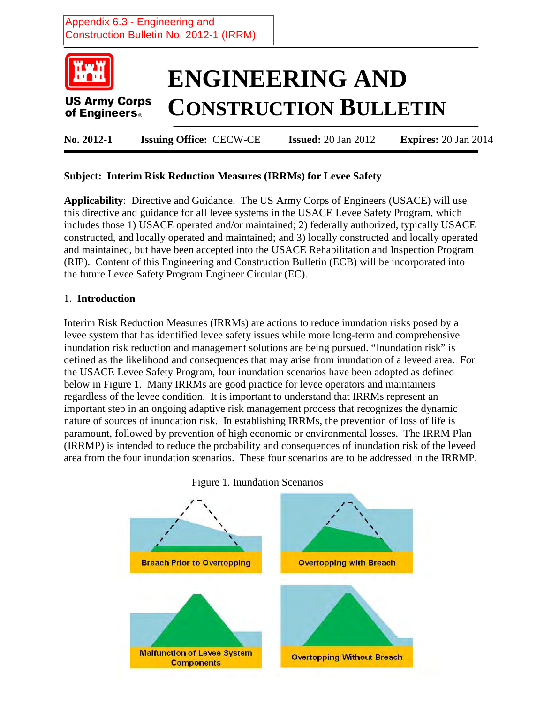# Appendix 6.3 - Engineering and Construction Bulletin No. 2012-1 (IRRM)



### **Subject: Interim Risk Reduction Measures (IRRMs) for Levee Safety**

**Applicability**: Directive and Guidance. The US Army Corps of Engineers (USACE) will use this directive and guidance for all levee systems in the USACE Levee Safety Program, which includes those 1) USACE operated and/or maintained; 2) federally authorized, typically USACE constructed, and locally operated and maintained; and 3) locally constructed and locally operated and maintained, but have been accepted into the USACE Rehabilitation and Inspection Program (RIP). Content of this Engineering and Construction Bulletin (ECB) will be incorporated into the future Levee Safety Program Engineer Circular (EC).

#### 1. **Introduction**

Interim Risk Reduction Measures (IRRMs) are actions to reduce inundation risks posed by a levee system that has identified levee safety issues while more long-term and comprehensive inundation risk reduction and management solutions are being pursued. "Inundation risk" is defined as the likelihood and consequences that may arise from inundation of a leveed area. For the USACE Levee Safety Program, four inundation scenarios have been adopted as defined below in Figure 1. Many IRRMs are good practice for levee operators and maintainers regardless of the levee condition. It is important to understand that IRRMs represent an important step in an ongoing adaptive risk management process that recognizes the dynamic nature of sources of inundation risk. In establishing IRRMs, the prevention of loss of life is paramount, followed by prevention of high economic or environmental losses.The IRRM Plan (IRRMP) is intended to reduce the probability and consequences of inundation risk of the leveed area from the four inundation scenarios. These four scenarios are to be addressed in the IRRMP.

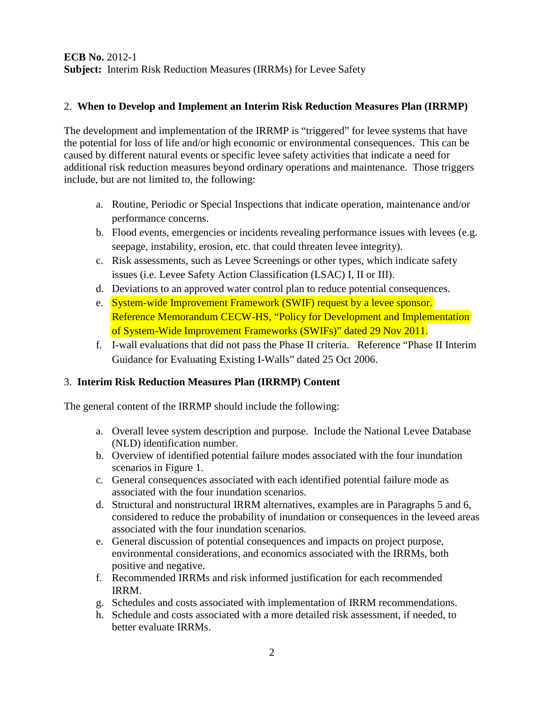### **ECB No.** 2012-1 **Subject:** Interim Risk Reduction Measures (IRRMs) for Levee Safety

### 2. **When to Develop and Implement an Interim Risk Reduction Measures Plan (IRRMP)**

The development and implementation of the IRRMP is "triggered" for levee systems that have the potential for loss of life and/or high economic or environmental consequences. This can be caused by different natural events or specific levee safety activities that indicate a need for additional risk reduction measures beyond ordinary operations and maintenance. Those triggers include, but are not limited to, the following:

- a. Routine, Periodic or Special Inspections that indicate operation, maintenance and/or performance concerns.
- b. Flood events, emergencies or incidents revealing performance issues with levees (e.g. seepage, instability, erosion, etc. that could threaten levee integrity).
- c. Risk assessments, such as Levee Screenings or other types, which indicate safety issues (i.e. Levee Safety Action Classification (LSAC) I, II or III).
- d. Deviations to an approved water control plan to reduce potential consequences.
- e. System-wide Improvement Framework (SWIF) request by a levee sponsor. Reference Memorandum CECW-HS, "Policy for Development and Implementation of System-Wide Improvement Frameworks (SWIFs)" dated 29 Nov 2011.
- f. I-wall evaluations that did not pass the Phase II criteria. Reference "Phase II Interim Guidance for Evaluating Existing I-Walls" dated 25 Oct 2006.

### 3. **Interim Risk Reduction Measures Plan (IRRMP) Content**

The general content of the IRRMP should include the following:

- a. Overall levee system description and purpose. Include the National Levee Database (NLD) identification number.
- b. Overview of identified potential failure modes associated with the four inundation scenarios in Figure 1.
- c. General consequences associated with each identified potential failure mode as associated with the four inundation scenarios.
- d. Structural and nonstructural IRRM alternatives, examples are in Paragraphs 5 and 6, considered to reduce the probability of inundation or consequences in the leveed areas associated with the four inundation scenarios.
- e. General discussion of potential consequences and impacts on project purpose, environmental considerations, and economics associated with the IRRMs, both positive and negative.
- f. Recommended IRRMs and risk informed justification for each recommended IRRM.
- g. Schedules and costs associated with implementation of IRRM recommendations.
- h. Schedule and costs associated with a more detailed risk assessment, if needed, to better evaluate IRRMs.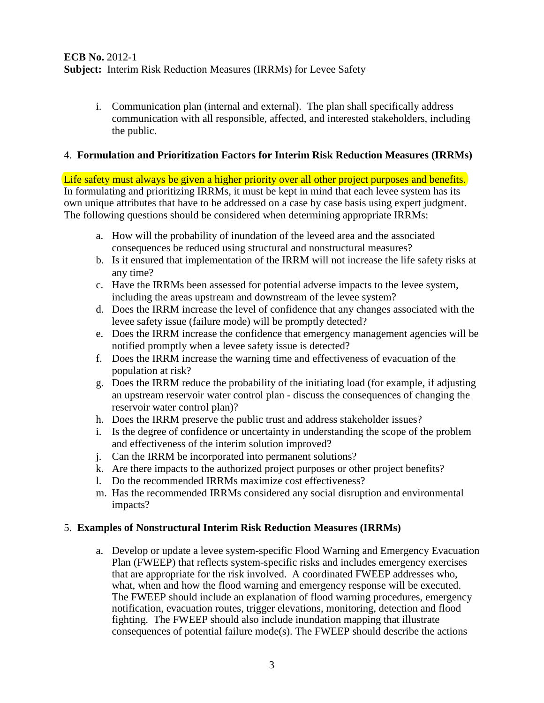### **ECB No.** 2012-1 **Subject:** Interim Risk Reduction Measures (IRRMs) for Levee Safety

i. Communication plan (internal and external). The plan shall specifically address communication with all responsible, affected, and interested stakeholders, including the public.

### 4. **Formulation and Prioritization Factors for Interim Risk Reduction Measures (IRRMs)**

Life safety must always be given a higher priority over all other project purposes and benefits. In formulating and prioritizing IRRMs, it must be kept in mind that each levee system has its own unique attributes that have to be addressed on a case by case basis using expert judgment. The following questions should be considered when determining appropriate IRRMs:

- a. How will the probability of inundation of the leveed area and the associated consequences be reduced using structural and nonstructural measures?
- b. Is it ensured that implementation of the IRRM will not increase the life safety risks at any time?
- c. Have the IRRMs been assessed for potential adverse impacts to the levee system, including the areas upstream and downstream of the levee system?
- d. Does the IRRM increase the level of confidence that any changes associated with the levee safety issue (failure mode) will be promptly detected?
- e. Does the IRRM increase the confidence that emergency management agencies will be notified promptly when a levee safety issue is detected?
- f. Does the IRRM increase the warning time and effectiveness of evacuation of the population at risk?
- g. Does the IRRM reduce the probability of the initiating load (for example, if adjusting an upstream reservoir water control plan - discuss the consequences of changing the reservoir water control plan)?
- h. Does the IRRM preserve the public trust and address stakeholder issues?
- i. Is the degree of confidence or uncertainty in understanding the scope of the problem and effectiveness of the interim solution improved?
- j. Can the IRRM be incorporated into permanent solutions?
- k. Are there impacts to the authorized project purposes or other project benefits?
- l. Do the recommended IRRMs maximize cost effectiveness?
- m. Has the recommended IRRMs considered any social disruption and environmental impacts?

### 5. **Examples of Nonstructural Interim Risk Reduction Measures (IRRMs)**

a. Develop or update a levee system-specific Flood Warning and Emergency Evacuation Plan (FWEEP) that reflects system-specific risks and includes emergency exercises that are appropriate for the risk involved. A coordinated FWEEP addresses who, what, when and how the flood warning and emergency response will be executed. The FWEEP should include an explanation of flood warning procedures, emergency notification, evacuation routes, trigger elevations, monitoring, detection and flood fighting. The FWEEP should also include inundation mapping that illustrate consequences of potential failure mode(s). The FWEEP should describe the actions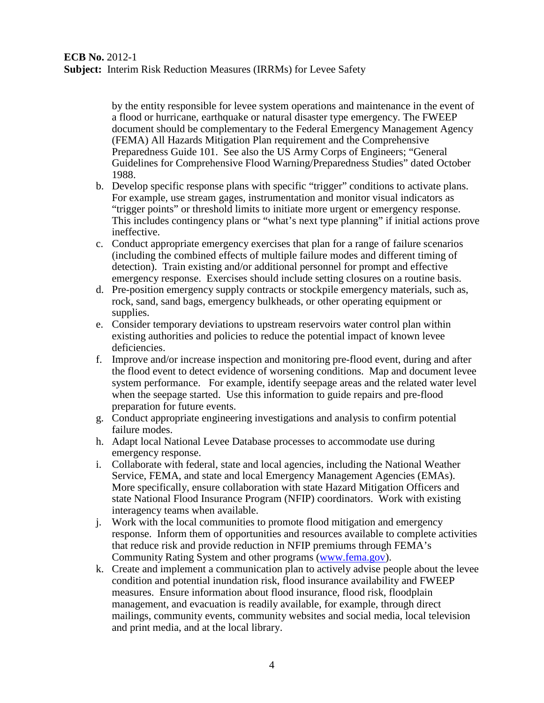by the entity responsible for levee system operations and maintenance in the event of a flood or hurricane, earthquake or natural disaster type emergency. The FWEEP document should be complementary to the Federal Emergency Management Agency (FEMA) All Hazards Mitigation Plan requirement and the Comprehensive Preparedness Guide 101. See also the US Army Corps of Engineers; "General Guidelines for Comprehensive Flood Warning/Preparedness Studies" dated October 1988.

- b. Develop specific response plans with specific "trigger" conditions to activate plans. For example, use stream gages, instrumentation and monitor visual indicators as "trigger points" or threshold limits to initiate more urgent or emergency response. This includes contingency plans or "what's next type planning" if initial actions prove ineffective.
- c. Conduct appropriate emergency exercises that plan for a range of failure scenarios (including the combined effects of multiple failure modes and different timing of detection). Train existing and/or additional personnel for prompt and effective emergency response. Exercises should include setting closures on a routine basis.
- d. Pre-position emergency supply contracts or stockpile emergency materials, such as, rock, sand, sand bags, emergency bulkheads, or other operating equipment or supplies.
- e. Consider temporary deviations to upstream reservoirs water control plan within existing authorities and policies to reduce the potential impact of known levee deficiencies.
- f. Improve and/or increase inspection and monitoring pre-flood event, during and after the flood event to detect evidence of worsening conditions. Map and document levee system performance. For example, identify seepage areas and the related water level when the seepage started. Use this information to guide repairs and pre-flood preparation for future events.
- g. Conduct appropriate engineering investigations and analysis to confirm potential failure modes.
- h. Adapt local National Levee Database processes to accommodate use during emergency response.
- i. Collaborate with federal, state and local agencies, including the National Weather Service, FEMA, and state and local Emergency Management Agencies (EMAs). More specifically, ensure collaboration with state Hazard Mitigation Officers and state National Flood Insurance Program (NFIP) coordinators. Work with existing interagency teams when available.
- j. Work with the local communities to promote flood mitigation and emergency response. Inform them of opportunities and resources available to complete activities that reduce risk and provide reduction in NFIP premiums through FEMA's Community Rating System and other programs [\(www.fema.gov\)](http://www.fema.gov/).
- k. Create and implement a communication plan to actively advise people about the levee condition and potential inundation risk, flood insurance availability and FWEEP measures. Ensure information about flood insurance, flood risk, floodplain management, and evacuation is readily available, for example, through direct mailings, community events, community websites and social media, local television and print media, and at the local library.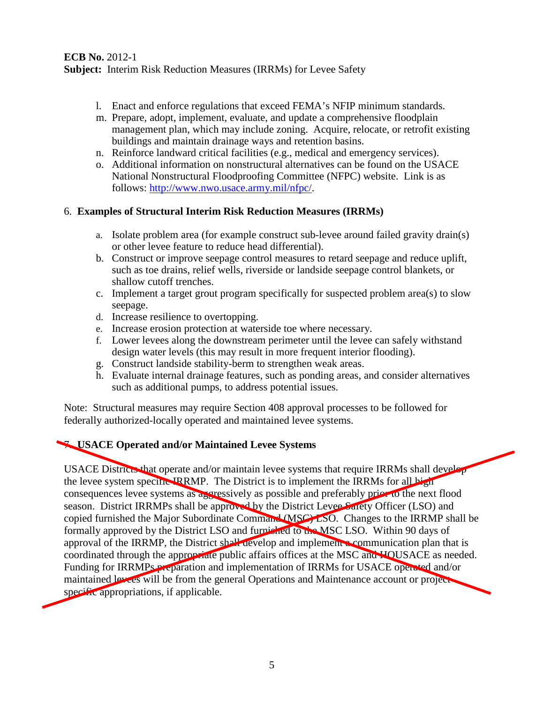- l. Enact and enforce regulations that exceed FEMA's NFIP minimum standards.
- m. Prepare, adopt, implement, evaluate, and update a comprehensive floodplain management plan, which may include zoning. Acquire, relocate, or retrofit existing buildings and maintain drainage ways and retention basins.
- n. Reinforce landward critical facilities (e.g., medical and emergency services).
- o. Additional information on nonstructural alternatives can be found on the USACE National Nonstructural Floodproofing Committee (NFPC) website. Link is as follows: [http://www.nwo.usace.army.mil/nfpc/.](http://www.nwo.usace.army.mil/nfpc/)

## 6. **Examples of Structural Interim Risk Reduction Measures (IRRMs)**

- a. Isolate problem area (for example construct sub-levee around failed gravity drain(s) or other levee feature to reduce head differential).
- b. Construct or improve seepage control measures to retard seepage and reduce uplift, such as toe drains, relief wells, riverside or landside seepage control blankets, or shallow cutoff trenches.
- c. Implement a target grout program specifically for suspected problem area(s) to slow seepage.
- d. Increase resilience to overtopping.
- e. Increase erosion protection at waterside toe where necessary.
- f. Lower levees along the downstream perimeter until the levee can safely withstand design water levels (this may result in more frequent interior flooding).
- g. Construct landside stability-berm to strengthen weak areas.
- h. Evaluate internal drainage features, such as ponding areas, and consider alternatives such as additional pumps, to address potential issues.

Note: Structural measures may require Section 408 approval processes to be followed for federally authorized-locally operated and maintained levee systems.

# 7. **USACE Operated and/or Maintained Levee Systems**

USACE Districts that operate and/or maintain levee systems that require IRRMs shall develop the levee system specific IRRMP. The District is to implement the IRRMs for all high consequences levee systems as aggressively as possible and preferably prior to the next flood season. District IRRMPs shall be approved by the District Levee Safety Officer (LSO) and copied furnished the Major Subordinate Command (MSC) LSO. Changes to the IRRMP shall be formally approved by the District LSO and furnished to the MSC LSO. Within 90 days of approval of the IRRMP, the District shall develop and implement a communication plan that is coordinated through the appropriate public affairs offices at the MSC and HQUSACE as needed. Funding for IRRMPs preparation and implementation of IRRMs for USACE operated and/or maintained levees will be from the general Operations and Maintenance account or project specific appropriations, if applicable.